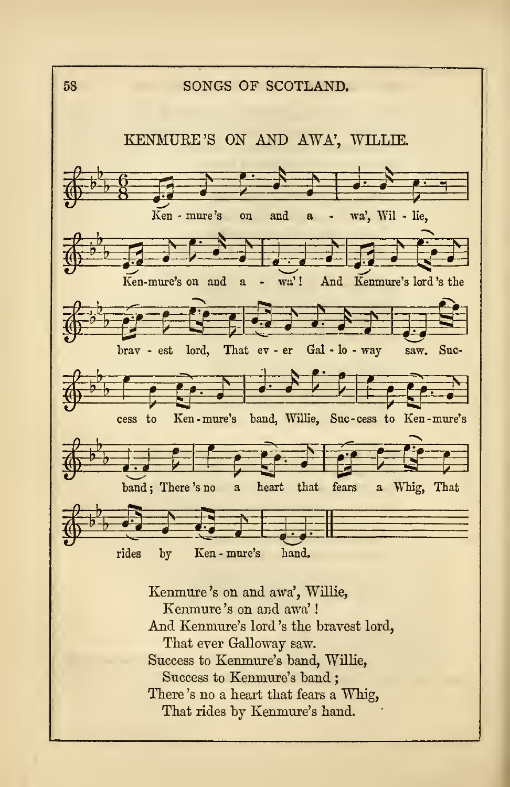